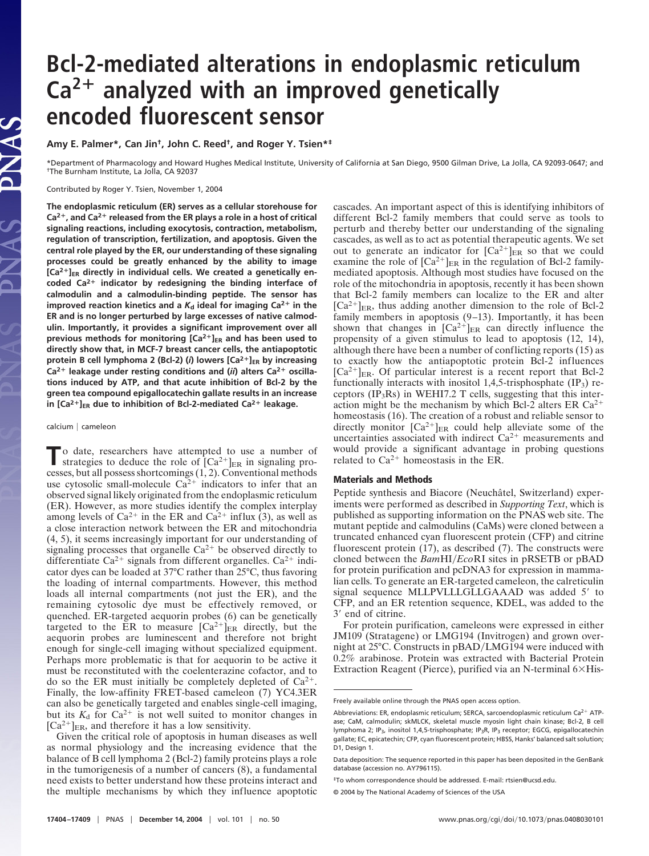## **Bcl-2-mediated alterations in endoplasmic reticulum Ca2 analyzed with an improved genetically encoded fluorescent sensor**

**Amy E. Palmer\*, Can Jin†, John C. Reed†, and Roger Y. Tsien\*‡**

\*Department of Pharmacology and Howard Hughes Medical Institute, University of California at San Diego, 9500 Gilman Drive, La Jolla, CA 92093-0647; and †The Burnham Institute, La Jolla, CA 92037

Contributed by Roger Y. Tsien, November 1, 2004

**The endoplasmic reticulum (ER) serves as a cellular storehouse for Ca2, and Ca2 released from the ER plays a role in a host of critical signaling reactions, including exocytosis, contraction, metabolism, regulation of transcription, fertilization, and apoptosis. Given the central role played by the ER, our understanding of these signaling processes could be greatly enhanced by the ability to image** [Ca<sup>2+</sup>]<sub>ER</sub> directly in individual cells. We created a genetically en**coded Ca2 indicator by redesigning the binding interface of calmodulin and a calmodulin-binding peptide. The sensor has improved reaction kinetics and a**  $K_d$  **ideal for imaging Ca<sup>2+</sup> in the ER and is no longer perturbed by large excesses of native calmodulin. Importantly, it provides a significant improvement over all previous methods for monitoring [Ca<sup>2+</sup>]<sub>ER</sub> and has been used to directly show that, in MCF-7 breast cancer cells, the antiapoptotic** protein B cell lymphoma 2 (Bcl-2) (*i*) lowers  $[Ca^{2+}]_{ER}$  by increasing Ca<sup>2+</sup> leakage under resting conditions and (*ii*) alters Ca<sup>2+</sup> oscilla**tions induced by ATP, and that acute inhibition of Bcl-2 by the green tea compound epigallocatechin gallate results in an increase** in  $[Ca^{2+}]_{ER}$  due to inhibition of Bcl-2-mediated  $Ca^{2+}$  leakage.

calcium | cameleon

 $\Gamma$ o date, researchers have attempted to use a number of strategies to deduce the role of  $[Ca^{2+}]_{ER}$  in signaling processes, but all possess shortcomings (1, 2). Conventional methods use cytosolic small-molecule  $Ca^{2+}$  indicators to infer that an observed signal likely originated from the endoplasmic reticulum (ER). However, as more studies identify the complex interplay among levels of Ca<sup>2+</sup> in the ER and Ca<sup>2+</sup> influx (3), as well as a close interaction network between the ER and mitochondria (4, 5), it seems increasingly important for our understanding of signaling processes that organelle  $Ca^{2+}$  be observed directly to differentiate  $Ca^{2+}$  signals from different organelles.  $Ca^{2+}$  indicator dyes can be loaded at 37°C rather than 25°C, thus favoring the loading of internal compartments. However, this method loads all internal compartments (not just the ER), and the remaining cytosolic dye must be effectively removed, or quenched. ER-targeted aequorin probes (6) can be genetically targeted to the ER to measure  $[Ca^{2+}]_{ER}$  directly, but the aequorin probes are luminescent and therefore not bright enough for single-cell imaging without specialized equipment. Perhaps more problematic is that for aequorin to be active it must be reconstituted with the coelenterazine cofactor, and to do so the ER must initially be completely depleted of  $Ca^{2+}$ . Finally, the low-affinity FRET-based cameleon (7) YC4.3ER can also be genetically targeted and enables single-cell imaging, but its  $K_d$  for  $Ca^{2+}$  is not well suited to monitor changes in  $[Ca^{2+}]_{ER}$ , and therefore it has a low sensitivity.

Given the critical role of apoptosis in human diseases as well as normal physiology and the increasing evidence that the balance of B cell lymphoma 2 (Bcl-2) family proteins plays a role in the tumorigenesis of a number of cancers (8), a fundamental need exists to better understand how these proteins interact and the multiple mechanisms by which they influence apoptotic

cascades. An important aspect of this is identifying inhibitors of different Bcl-2 family members that could serve as tools to perturb and thereby better our understanding of the signaling cascades, as well as to act as potential therapeutic agents. We set out to generate an indicator for  $[Ca^{2+}]_{ER}$  so that we could examine the role of  $[Ca^{2+}]_{ER}$  in the regulation of Bcl-2 familymediated apoptosis. Although most studies have focused on the role of the mitochondria in apoptosis, recently it has been shown that Bcl-2 family members can localize to the ER and alter  $[Ca^{2+}]_{ER}$ , thus adding another dimension to the role of Bcl-2 family members in apoptosis (9–13). Importantly, it has been shown that changes in  $[Ca^{2+}]_{ER}$  can directly influence the propensity of a given stimulus to lead to apoptosis (12, 14), although there have been a number of conflicting reports (15) as to exactly how the antiapoptotic protein Bcl-2 influences  $[Ca^{2+}]_{ER}$ . Of particular interest is a recent report that Bcl-2 functionally interacts with inositol 1,4,5-trisphosphate  $(IP_3)$  receptors ( $IP_3Rs$ ) in WEHI7.2 T cells, suggesting that this interaction might be the mechanism by which Bcl-2 alters ER  $Ca^{2+}$ homeostasis (16). The creation of a robust and reliable sensor to directly monitor  $[Ca^{2+}]_{ER}$  could help alleviate some of the uncertainties associated with indirect  $Ca^{2+}$  measurements and would provide a significant advantage in probing questions related to  $Ca^{2+}$  homeostasis in the ER.

## **Materials and Methods**

Peptide synthesis and Biacore (Neuchâtel, Switzerland) experiments were performed as described in *Supporting Text*, which is published as supporting information on the PNAS web site. The mutant peptide and calmodulins (CaMs) were cloned between a truncated enhanced cyan fluorescent protein (CFP) and citrine fluorescent protein (17), as described (7). The constructs were cloned between the *BamHI/EcoRI* sites in pRSETB or pBAD for protein purification and pcDNA3 for expression in mammalian cells. To generate an ER-targeted cameleon, the calreticulin signal sequence MLLPVLLLGLLGAAAD was added 5' to CFP, and an ER retention sequence, KDEL, was added to the 3' end of citrine.

For protein purification, cameleons were expressed in either JM109 (Stratagene) or LMG194 (Invitrogen) and grown overnight at 25°C. Constructs in pBAD/LMG194 were induced with 0.2% arabinose. Protein was extracted with Bacterial Protein Extraction Reagent (Pierce), purified via an N-terminal  $6\times$ His-

Freely available online through the PNAS open access option.

Abbreviations: ER, endoplasmic reticulum; SERCA, sarcoendoplasmic reticulum Ca<sup>2+</sup> ATPase; CaM, calmodulin; skMLCK, skeletal muscle myosin light chain kinase; Bcl-2, B cell lymphoma 2; IP3, inositol 1,4,5-trisphosphate; IP3R, IP3 receptor; EGCG, epigallocatechin gallate; EC, epicatechin; CFP, cyan fluorescent protein; HBSS, Hanks' balanced salt solution; D1, Design 1.

Data deposition: The sequence reported in this paper has been deposited in the GenBank database (accession no. AY796115).

<sup>‡</sup>To whom correspondence should be addressed. E-mail: rtsien@ucsd.edu.

<sup>© 2004</sup> by The National Academy of Sciences of the USA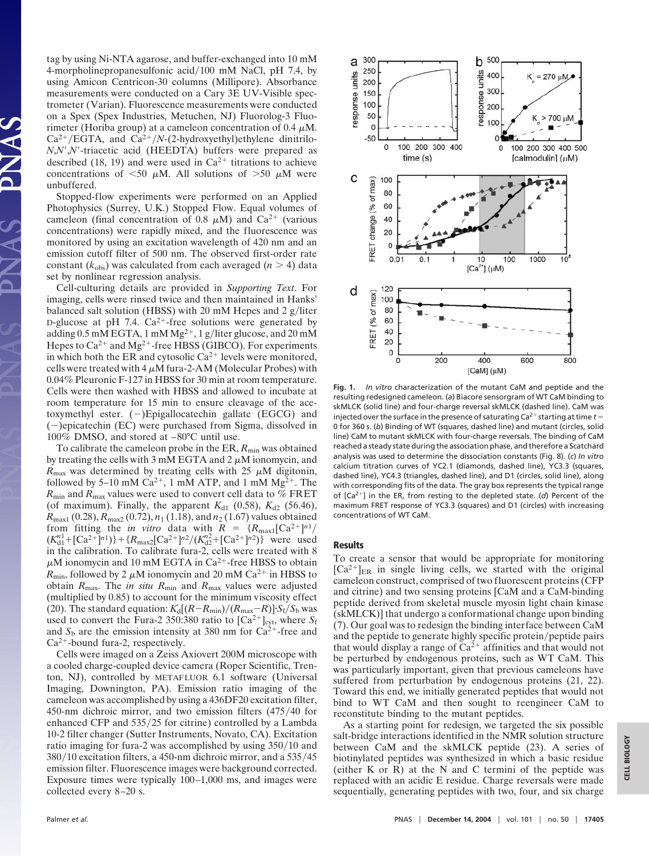tag by using Ni-NTA agarose, and buffer-exchanged into 10 mM 4-morpholinepropanesulfonic acid/100 mM NaCl, pH 7.4, by using Amicon Centricon-30 columns (Millipore). Absorbance measurements were conducted on a Cary 3E UV-Visible spectrometer (Varian). Fluorescence measurements were conducted on a Spex (Spex Industries, Metuchen, NJ) Fluorolog-3 Fluorimeter (Horiba group) at a cameleon concentration of 0.4  $\mu$ M.  $Ca^{2+}/EGTA$ , and  $Ca^{2+}/N$ -(2-hydroxyethyl)ethylene dinitrilo-*N*,*N*-,*N*--triacetic acid (HEEDTA) buffers were prepared as described (18, 19) and were used in  $Ca^{2+}$  titrations to achieve concentrations of  $\leq 50 \mu M$ . All solutions of  $> 50 \mu M$  were unbuffered.

Stopped-flow experiments were performed on an Applied Photophysics (Surrey, U.K.) Stopped Flow. Equal volumes of cameleon (final concentration of 0.8  $\mu$ M) and Ca<sup>2+</sup> (various concentrations) were rapidly mixed, and the fluorescence was monitored by using an excitation wavelength of 420 nm and an emission cutoff filter of 500 nm. The observed first-order rate constant  $(k_{obs})$  was calculated from each averaged  $(n > 4)$  data set by nonlinear regression analysis.

Cell-culturing details are provided in *Supporting Text*. For imaging, cells were rinsed twice and then maintained in Hanks' balanced salt solution (HBSS) with 20 mM Hepes and 2 g/liter D-glucose at pH 7.4.  $Ca^{2+}$ -free solutions were generated by adding  $0.5$  mM EGTA, 1 mM Mg<sup>2+</sup>, 1 g/liter glucose, and 20 mM Hepes to  $Ca^{2+}$  and Mg<sup>2+</sup>-free HBSS (GIBCO). For experiments in which both the ER and cytosolic  $Ca^{2+}$  levels were monitored, cells were treated with  $4 \mu M$  fura-2-AM (Molecular Probes) with 0.04% Pleuronic F-127 in HBSS for 30 min at room temperature. Cells were then washed with HBSS and allowed to incubate at room temperature for 15 min to ensure cleavage of the acetoxymethyl ester.  $(-)$ Epigallocatechin gallate (EGCG) and  $(-)$ epicatechin (EC) were purchased from Sigma, dissolved in 100% DMSO, and stored at –80°C until use.

To calibrate the cameleon probe in the ER,  $R_{\text{min}}$  was obtained by treating the cells with 3 mM EGTA and 2  $\mu$ M ionomycin, and  $R_{\text{max}}$  was determined by treating cells with 25  $\mu$ M digitonin, followed by 5–10 mM  $Ca^{2+}$ , 1 mM ATP, and 1 mM  $Mg^{2+}$ . The  $R_{\text{min}}$  and  $R_{\text{max}}$  values were used to convert cell data to % FRET (of maximum). Finally, the apparent  $K_{d1}$  (0.58),  $K_{d2}$  (56.46),  $R_{\text{max1}}(0.28), R_{\text{max2}}(0.72), n_1(1.18), \text{ and } n_2(1.67)$  values obtained from fitting the *in vitro* data with  $R = {R_{\text{max1}}[Ca^{2+}]}^{n_1}$  $(K_{d1}^{n1} + [Ca^{2+}]^{n1}) + {R_{\text{max2}}[Ca^{2+}]^{n2}/(K_{d2}^{n2} + [Ca^{2+}]^{n2})}$  were used in the calibration. To calibrate fura-2, cells were treated with 8  $\mu$ M ionomycin and 10 mM EGTA in Ca<sup>2+</sup>-free HBSS to obtain  $R_{\text{min}}$ , followed by 2  $\mu$ M ionomycin and 20 mM Ca<sup>2+</sup> in HBSS to obtain *R*max. The *in situ R*min and *R*max values were adjusted (multiplied by 0.85) to account for the minimum viscosity effect (20). The standard equation:  $K_d[(R - R_{min})/(R_{max} - R)]$   $S_f/S_b$  was used to convert the Fura-2 350:380 ratio to  $[\text{Ca}^{2+}]_{\text{cyt}}$ , where  $S_f$ and  $S_b$  are the emission intensity at 380 nm for  $Ca^{2+}$ -free and  $Ca<sup>2+</sup>$ -bound fura-2, respectively.

Cells were imaged on a Zeiss Axiovert 200M microscope with a cooled charge-coupled device camera (Roper Scientific, Trenton, NJ), controlled by METAFLUOR 6.1 software (Universal Imaging, Downington, PA). Emission ratio imaging of the cameleon was accomplished by using a 436DF20 excitation filter, 450-nm dichroic mirror, and two emission filters (475/40 for enhanced CFP and 535/25 for citrine) controlled by a Lambda 10-2 filter changer (Sutter Instruments, Novato, CA). Excitation ratio imaging for fura-2 was accomplished by using 350/10 and 380/10 excitation filters, a 450-nm dichroic mirror, and a 535/45 emission filter. Fluorescence images were background corrected. Exposure times were typically 100–1,000 ms, and images were collected every 8–20 s.



**Fig. 1.** *In vitro* characterization of the mutant CaM and peptide and the resulting redesigned cameleon. (*a*) Biacore sensorgram of WT CaM binding to skMLCK (solid line) and four-charge reversal skMLCK (dashed line). CaM was injected over the surface in the presence of saturating Ca<sup>2+</sup> starting at time  $t =$ 0 for 360 s. (*b*) Binding of WT (squares, dashed line) and mutant (circles, solid line) CaM to mutant skMLCK with four-charge reversals. The binding of CaM reached a steady state during the association phase, and therefore a Scatchard analysis was used to determine the dissociation constants (Fig. 8). (*c*) *In vitro* calcium titration curves of YC2.1 (diamonds, dashed line), YC3.3 (squares, dashed line), YC4.3 (triangles, dashed line), and D1 (circles, solid line), along with corresponding fits of the data. The gray box represents the typical range of [Ca<sup>2+</sup>] in the ER, from resting to the depleted state. (d) Percent of the maximum FRET response of YC3.3 (squares) and D1 (circles) with increasing concentrations of WT CaM.

## **Results**

To create a sensor that would be appropriate for monitoring  $[Ca^{2+}]_{ER}$  in single living cells, we started with the original cameleon construct, comprised of two fluorescent proteins (CFP and citrine) and two sensing proteins [CaM and a CaM-binding peptide derived from skeletal muscle myosin light chain kinase (skMLCK)] that undergo a conformational change upon binding (7). Our goal was to redesign the binding interface between CaM and the peptide to generate highly specific protein/peptide pairs that would display a range of  $Ca^{2+}$  affinities and that would not be perturbed by endogenous proteins, such as WT CaM. This was particularly important, given that previous cameleons have suffered from perturbation by endogenous proteins (21, 22). Toward this end, we initially generated peptides that would not bind to WT CaM and then sought to reengineer CaM to reconstitute binding to the mutant peptides.

As a starting point for redesign, we targeted the six possible salt-bridge interactions identified in the NMR solution structure between CaM and the skMLCK peptide (23). A series of biotinylated peptides was synthesized in which a basic residue (either K or R) at the N and C termini of the peptide was replaced with an acidic E residue. Charge reversals were made sequentially, generating peptides with two, four, and six charge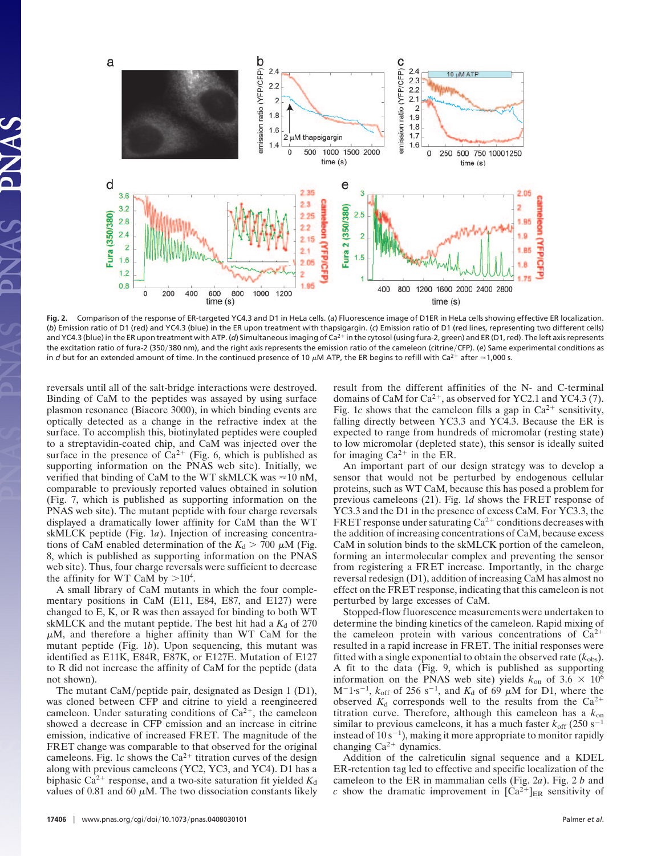

**Fig. 2.** Comparison of the response of ER-targeted YC4.3 and D1 in HeLa cells. (*a*) Fluorescence image of D1ER in HeLa cells showing effective ER localization. (*b*) Emission ratio of D1 (red) and YC4.3 (blue) in the ER upon treatment with thapsigargin. (*c*) Emission ratio of D1 (red lines, representing two different cells) and YC4.3 (blue) in the ER upon treatment with ATP. (d) Simultaneous imaging of Ca<sup>2+</sup> in the cytosol (using fura-2, green) and ER (D1, red). The left axis represents the excitation ratio of fura-2 (350/380 nm), and the right axis represents the emission ratio of the cameleon (citrine/CFP). (e) Same experimental conditions as in *d* but for an extended amount of time. In the continued presence of 10  $\mu$ M ATP, the ER begins to refill with Ca<sup>2+</sup> after  $\approx$  1,000 s.

reversals until all of the salt-bridge interactions were destroyed. Binding of CaM to the peptides was assayed by using surface plasmon resonance (Biacore 3000), in which binding events are optically detected as a change in the refractive index at the surface. To accomplish this, biotinylated peptides were coupled to a streptavidin-coated chip, and CaM was injected over the surface in the presence of  $\text{Ca}^{2+}$  (Fig. 6, which is published as supporting information on the PNAS web site). Initially, we verified that binding of CaM to the WT skMLCK was  $\approx 10$  nM, comparable to previously reported values obtained in solution (Fig. 7, which is published as supporting information on the PNAS web site). The mutant peptide with four charge reversals displayed a dramatically lower affinity for CaM than the WT skMLCK peptide (Fig. 1*a*). Injection of increasing concentrations of CaM enabled determination of the  $K_d > 700 \mu M$  (Fig. 8, which is published as supporting information on the PNAS web site). Thus, four charge reversals were sufficient to decrease the affinity for WT CaM by  $>10^4$ .

A small library of CaM mutants in which the four complementary positions in CaM (E11, E84, E87, and E127) were changed to E, K, or R was then assayed for binding to both WT skMLCK and the mutant peptide. The best hit had a  $K_d$  of 270  $\mu$ M, and therefore a higher affinity than WT CaM for the mutant peptide (Fig. 1*b*). Upon sequencing, this mutant was identified as E11K, E84R, E87K, or E127E. Mutation of E127 to R did not increase the affinity of CaM for the peptide (data not shown).

The mutant CaM/peptide pair, designated as Design 1 (D1), was cloned between CFP and citrine to yield a reengineered cameleon. Under saturating conditions of  $Ca^{2+}$ , the cameleon showed a decrease in CFP emission and an increase in citrine emission, indicative of increased FRET. The magnitude of the FRET change was comparable to that observed for the original cameleons. Fig. 1*c* shows the  $Ca^{2+}$  titration curves of the design along with previous cameleons (YC2, YC3, and YC4). D1 has a biphasic Ca<sup>2+</sup> response, and a two-site saturation fit yielded  $K_d$ values of 0.81 and 60  $\mu$ M. The two dissociation constants likely result from the different affinities of the N- and C-terminal domains of CaM for  $Ca^{2+}$ , as observed for YC2.1 and YC4.3 (7). Fig. 1*c* shows that the cameleon fills a gap in  $Ca^{2+}$  sensitivity, falling directly between YC3.3 and YC4.3. Because the ER is expected to range from hundreds of micromolar (resting state) to low micromolar (depleted state), this sensor is ideally suited for imaging  $Ca^{2+}$  in the ER.

An important part of our design strategy was to develop a sensor that would not be perturbed by endogenous cellular proteins, such as WT CaM, because this has posed a problem for previous cameleons (21). Fig. 1*d* shows the FRET response of YC3.3 and the D1 in the presence of excess CaM. For YC3.3, the FRET response under saturating  $Ca^{2+}$  conditions decreases with the addition of increasing concentrations of CaM, because excess CaM in solution binds to the skMLCK portion of the cameleon, forming an intermolecular complex and preventing the sensor from registering a FRET increase. Importantly, in the charge reversal redesign (D1), addition of increasing CaM has almost no effect on the FRET response, indicating that this cameleon is not perturbed by large excesses of CaM.

Stopped-flow fluorescence measurements were undertaken to determine the binding kinetics of the cameleon. Rapid mixing of the cameleon protein with various concentrations of  $Ca^{2+}$ resulted in a rapid increase in FRET. The initial responses were fitted with a single exponential to obtain the observed rate  $(k_{obs})$ . A fit to the data (Fig. 9, which is published as supporting information on the PNAS web site) yields  $k_{on}$  of 3.6  $\times$  10<sup>6</sup>  $M^{-1}$ s<sup>-1</sup>,  $k_{off}$  of 256 s<sup>-1</sup>, and  $K_d$  of 69  $\mu$ M for D1, where the observed  $K_d$  corresponds well to the results from the  $Ca^{2+}$ titration curve. Therefore, although this cameleon has a *k*on similar to previous cameleons, it has a much faster  $k_{\text{off}}$  (250 s<sup>-1</sup>) instead of  $10 s^{-1}$ ), making it more appropriate to monitor rapidly changing  $Ca^{2+}$  dynamics.

Addition of the calreticulin signal sequence and a KDEL ER-retention tag led to effective and specific localization of the cameleon to the ER in mammalian cells (Fig. 2*a*). Fig. 2 *b* and *c* show the dramatic improvement in  $[Ca^{2+}]_{ER}$  sensitivity of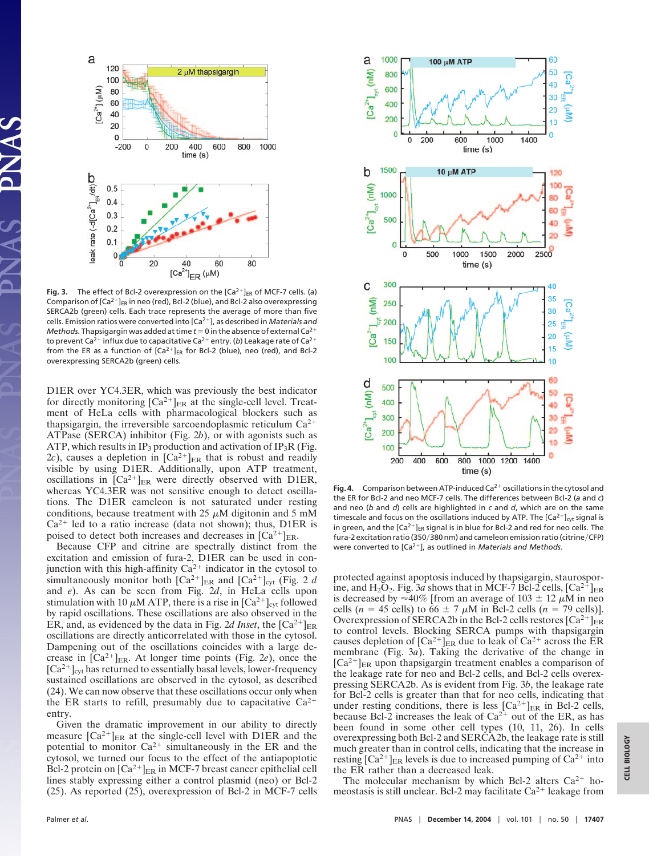

Fig. 3. The effect of Bcl-2 overexpression on the  $[Ca<sup>2+</sup>]_{ER}$  of MCF-7 cells. (a) Comparison of  $[Ca^{2+}]_{ER}$  in neo (red), Bcl-2 (blue), and Bcl-2 also overexpressing SERCA2b (green) cells. Each trace represents the average of more than five cells. Emission ratios were converted into [Ca2], as described in *Materials and Methods.* Thapsigargin was added at time  $t = 0$  in the absence of external Ca<sup>2+</sup> to prevent Ca<sup>2+</sup> influx due to capacitative Ca<sup>2+</sup> entry. (b) Leakage rate of Ca<sup>2+</sup> from the ER as a function of  $[Ca^{2+}]_{ER}$  for Bcl-2 (blue), neo (red), and Bcl-2 overexpressing SERCA2b (green) cells.

D1ER over YC4.3ER, which was previously the best indicator for directly monitoring  $[Ca^{2+}]_{ER}$  at the single-cell level. Treatment of HeLa cells with pharmacological blockers such as thapsigargin, the irreversible sarcoendoplasmic reticulum  $Ca^{2+}$ ATPase (SERCA) inhibitor (Fig. 2*b*), or with agonists such as ATP, which results in IP<sub>3</sub> production and activation of IP<sub>3</sub>R (Fig. 2*c*), causes a depletion in  $[Ca^{2+}]_{ER}$  that is robust and readily visible by using D1ER. Additionally, upon ATP treatment, oscillations in  $[Ca^{2+}]_{ER}$  were directly observed with D1ER, whereas YC4.3ER was not sensitive enough to detect oscillations. The D1ER cameleon is not saturated under resting conditions, because treatment with  $25 \mu M$  digitonin and 5 mM  $Ca^{2+}$  led to a ratio increase (data not shown); thus, D1ER is poised to detect both increases and decreases in  $\left[Ca^{2+}\right]_{ER}$ .

Because CFP and citrine are spectrally distinct from the excitation and emission of fura-2, D1ER can be used in conjunction with this high-affinity  $Ca^{2+}$  indicator in the cytosol to simultaneously monitor both  $[Ca^{2+}]_{ER}$  and  $[Ca^{2+}]_{cyt}$  (Fig. 2 *d* and *e*). As can be seen from Fig. 2*d*, in HeLa cells upon stimulation with 10  $\mu$ M ATP, there is a rise in [Ca<sup>2+</sup>]<sub>cyt</sub> followed by rapid oscillations. These oscillations are also observed in the ER, and, as evidenced by the data in Fig. 2d Inset, the  $\lbrack Ca^{2+} \rbrack_{\text{ER}}$ oscillations are directly anticorrelated with those in the cytosol. Dampening out of the oscillations coincides with a large decrease in  $[Ca^{2+}]_{ER}$ . At longer time points (Fig. 2*e*), once the  $[Ca^{2+}]_{\text{cyt}}$  has returned to essentially basal levels, lower-frequency sustained oscillations are observed in the cytosol, as described (24). We can now observe that these oscillations occur only when the ER starts to refill, presumably due to capacitative  $Ca^{2+}$ entry.

Given the dramatic improvement in our ability to directly measure  $[Ca^{2+}]_{ER}$  at the single-cell level with D1ER and the potential to monitor  $Ca^{2+}$  simultaneously in the ER and the cytosol, we turned our focus to the effect of the antiapoptotic Bcl-2 protein on  $\lceil Ca^{2+} \rceil_{\text{ER}}$  in MCF-7 breast cancer epithelial cell lines stably expressing either a control plasmid (neo) or Bcl-2 (25). As reported (25), overexpression of Bcl-2 in MCF-7 cells



Fig. 4. Comparison between ATP-induced Ca<sup>2+</sup> oscillations in the cytosol and the ER for Bcl-2 and neo MCF-7 cells. The differences between Bcl-2 (*a* and *c*) and neo (*b* and *d*) cells are highlighted in *c* and *d*, which are on the same timescale and focus on the oscillations induced by ATP. The  $\left[Ca^{2+}\right]_{\text{cyt}}$  signal is in green, and the  $[Ca^{2+}]_{ER}$  signal is in blue for Bcl-2 and red for neo cells. The fura-2 excitation ratio (350/380 nm) and cameleon emission ratio (citrine/CFP) were converted to [Ca<sup>2+</sup>], as outlined in *Materials and Methods*.

protected against apoptosis induced by thapsigargin, staurosporine, and H<sub>2</sub>O<sub>2</sub>. Fig. 3*a* shows that in MCF-7 Bcl-2 cells,  $[Ca^{2+}]_{ER}$ is decreased by  $\approx 40\%$  [from an average of 103  $\pm$  12  $\mu$ M in neo cells ( $n = 45$  cells) to 66  $\pm$  7  $\mu$ M in Bcl-2 cells ( $n = 79$  cells)]. Overexpression of SERCA2b in the Bcl-2 cells restores  $\left[Ca^{2+}\right]_{ER}$ to control levels. Blocking SERCA pumps with thapsigargin causes depletion of  $[Ca^{2+}]_{ER}$  due to leak of  $Ca^{2+}$  across the ER membrane (Fig. 3*a*). Taking the derivative of the change in  $[Ca^{2+}]_{ER}$  upon thapsigargin treatment enables a comparison of the leakage rate for neo and Bcl-2 cells, and Bcl-2 cells overexpressing SERCA2b. As is evident from Fig. 3*b*, the leakage rate for Bcl-2 cells is greater than that for neo cells, indicating that under resting conditions, there is less  $[Ca^{2+}]_{ER}$  in Bcl-2 cells, because Bcl-2 increases the leak of  $Ca^{2+}$  out of the ER, as has been found in some other cell types (10, 11, 26). In cells overexpressing both Bcl-2 and SERCA2b, the leakage rate is still much greater than in control cells, indicating that the increase in resting  $[Ca^{2+}]_{ER}$  levels is due to increased pumping of  $Ca^{2+}$  into the ER rather than a decreased leak.

The molecular mechanism by which Bcl-2 alters  $Ca^{2+}$  homeostasis is still unclear. Bcl-2 may facilitate  $Ca^{2+}$  leakage from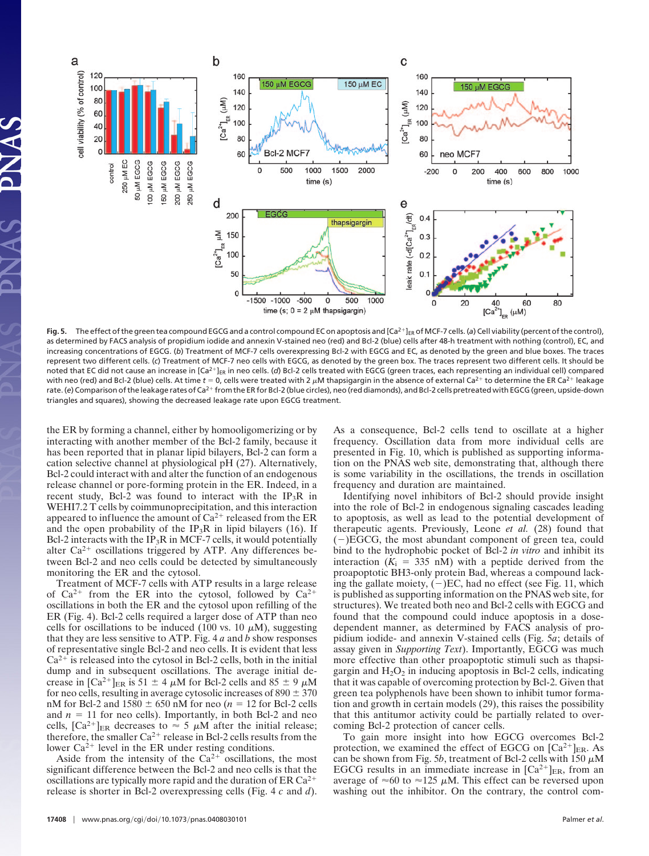

**Fig. 5.** The effect of the green tea compound EGCG and a control compound EC on apoptosis and  $\left[Ca^{2+}\right]_{ER}$  of MCF-7 cells. (a) Cell viability (percent of the control), as determined by FACS analysis of propidium iodide and annexin V-stained neo (red) and Bcl-2 (blue) cells after 48-h treatment with nothing (control), EC, and increasing concentrations of EGCG. (*b*) Treatment of MCF-7 cells overexpressing Bcl-2 with EGCG and EC, as denoted by the green and blue boxes. The traces represent two different cells. (*c*) Treatment of MCF-7 neo cells with EGCG, as denoted by the green box. The traces represent two different cells. It should be noted that EC did not cause an increase in [Ca<sup>2+</sup>]<sub>ER</sub> in neo cells. (d) Bcl-2 cells treated with EGCG (green traces, each representing an individual cell) compared with neo (red) and Bcl-2 (blue) cells. At time  $t = 0$ , cells were treated with 2  $\mu$ M thapsigargin in the absence of external Ca<sup>2+</sup> to determine the ER Ca<sup>2+</sup> leakage rate. (e) Comparison of the leakage rates of Ca<sup>2+</sup> from the ER for Bcl-2 (blue circles), neo (red diamonds), and Bcl-2 cells pretreated with EGCG (green, upside-down triangles and squares), showing the decreased leakage rate upon EGCG treatment.

the ER by forming a channel, either by homooligomerizing or by interacting with another member of the Bcl-2 family, because it has been reported that in planar lipid bilayers, Bcl-2 can form a cation selective channel at physiological pH (27). Alternatively, Bcl-2 could interact with and alter the function of an endogenous release channel or pore-forming protein in the ER. Indeed, in a recent study, Bcl-2 was found to interact with the IP<sub>3</sub>R in WEHI7.2 T cells by coimmunoprecipitation, and this interaction appeared to influence the amount of  $Ca^{2+}$  released from the ER and the open probability of the IP<sub>3</sub>R in lipid bilayers (16). If Bcl-2 interacts with the  $IP_3R$  in MCF-7 cells, it would potentially alter  $Ca^{2+}$  oscillations triggered by ATP. Any differences between Bcl-2 and neo cells could be detected by simultaneously monitoring the ER and the cytosol.

Treatment of MCF-7 cells with ATP results in a large release of  $Ca^{2+}$  from the ER into the cytosol, followed by  $Ca^{2+}$ oscillations in both the ER and the cytosol upon refilling of the ER (Fig. 4). Bcl-2 cells required a larger dose of ATP than neo cells for oscillations to be induced (100 vs. 10  $\mu$ M), suggesting that they are less sensitive to ATP. Fig. 4 *a* and *b* show responses of representative single Bcl-2 and neo cells. It is evident that less  $Ca<sup>2+</sup>$  is released into the cytosol in Bcl-2 cells, both in the initial dump and in subsequent oscillations. The average initial decrease in  $\left[\text{Ca}^{2+}\right]_{\text{ER}}$  is 51  $\pm$  4  $\mu$ M for Bcl-2 cells and 85  $\pm$  9  $\mu$ M for neo cells, resulting in average cytosolic increases of  $890 \pm 370$ nM for Bcl-2 and  $1580 \pm 650$  nM for neo ( $n = 12$  for Bcl-2 cells and  $n = 11$  for neo cells). Importantly, in both Bcl-2 and neo cells,  $[Ca^{2+}]_{ER}$  decreases to  $\approx$  5  $\mu$ M after the initial release; therefore, the smaller  $Ca^{2+}$  release in Bcl-2 cells results from the lower  $Ca^{2+}$  level in the ER under resting conditions.

Aside from the intensity of the  $Ca^{2+}$  oscillations, the most significant difference between the Bcl-2 and neo cells is that the oscillations are typically more rapid and the duration of ER Ca<sup>2+</sup> release is shorter in Bcl-2 overexpressing cells (Fig. 4 *c* and *d*). As a consequence, Bcl-2 cells tend to oscillate at a higher frequency. Oscillation data from more individual cells are presented in Fig. 10, which is published as supporting information on the PNAS web site, demonstrating that, although there is some variability in the oscillations, the trends in oscillation frequency and duration are maintained.

Identifying novel inhibitors of Bcl-2 should provide insight into the role of Bcl-2 in endogenous signaling cascades leading to apoptosis, as well as lead to the potential development of therapeutic agents. Previously, Leone *et al.* (28) found that  $(-)EGCG$ , the most abundant component of green tea, could bind to the hydrophobic pocket of Bcl-2 *in vitro* and inhibit its interaction  $(K_i = 335 \text{ nM})$  with a peptide derived from the proapoptotic BH3-only protein Bad, whereas a compound lacking the gallate moiety,  $(-)EC$ , had no effect (see Fig. 11, which is published as supporting information on the PNAS web site, for structures). We treated both neo and Bcl-2 cells with EGCG and found that the compound could induce apoptosis in a dosedependent manner, as determined by FACS analysis of propidium iodide- and annexin V-stained cells (Fig. 5*a*; details of assay given in *Supporting Text*). Importantly, EGCG was much more effective than other proapoptotic stimuli such as thapsigargin and  $H_2O_2$  in inducing apoptosis in Bcl-2 cells, indicating that it was capable of overcoming protection by Bcl-2. Given that green tea polyphenols have been shown to inhibit tumor formation and growth in certain models (29), this raises the possibility that this antitumor activity could be partially related to overcoming Bcl-2 protection of cancer cells.

To gain more insight into how EGCG overcomes Bcl-2 protection, we examined the effect of EGCG on  $[Ca^{2+}]_{ER}$ . As can be shown from Fig. 5*b*, treatment of Bcl-2 cells with 150  $\mu$ M EGCG results in an immediate increase in  $[Ca^{2+}]_{ER}$ , from an average of  $\approx 60$  to  $\approx 125 \mu$ M. This effect can be reversed upon washing out the inhibitor. On the contrary, the control com